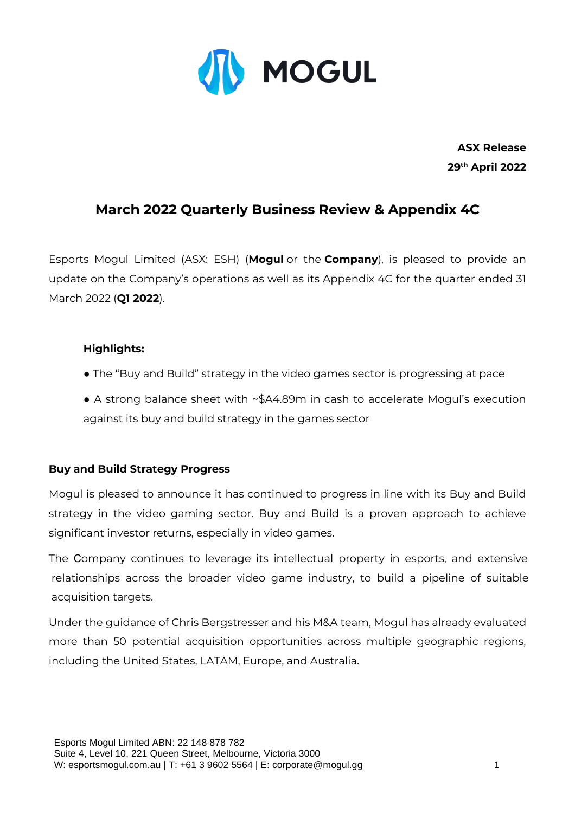

**ASX Release 29th April 2022**

## **March 2022 Quarterly Business Review & Appendix 4C**

Esports Mogul Limited (ASX: ESH) (**Mogul** or the **Company**), is pleased to provide an update on the Company's operations as well as its Appendix 4C for the quarter ended 31 March 2022 (**Q1 2022**).

#### **Highlights:**

- The "Buy and Build" strategy in the video games sector is progressing at pace
- A strong balance sheet with ~\$A4.89m in cash to accelerate Mogul's execution against its buy and build strategy in the games sector

### **Buy and Build Strategy Progress**

Mogul is pleased to announce it has continued to progress in line with its Buy and Build strategy in the video gaming sector. Buy and Build is a proven approach to achieve significant investor returns, especially in video games.

The Company continues to leverage its intellectual property in esports, and extensive relationships across the broader video game industry, to build a pipeline of suitable acquisition targets.

Under the guidance of Chris Bergstresser and his M&A team, Mogul has already evaluated more than 50 potential acquisition opportunities across multiple geographic regions, including the United States, LATAM, Europe, and Australia.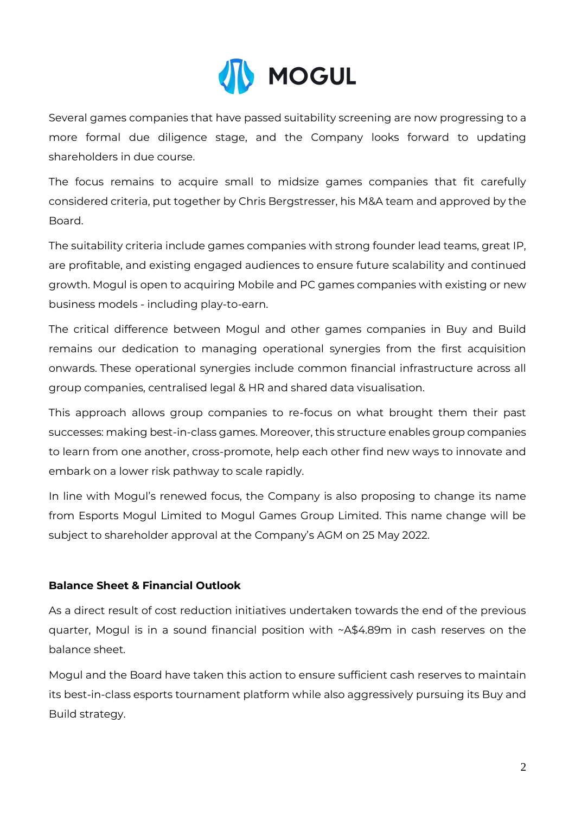

Several games companies that have passed suitability screening are now progressing to a more formal due diligence stage, and the Company looks forward to updating shareholders in due course.

The focus remains to acquire small to midsize games companies that fit carefully considered criteria, put together by Chris Bergstresser, his M&A team and approved by the Board.

The suitability criteria include games companies with strong founder lead teams, great IP, are profitable, and existing engaged audiences to ensure future scalability and continued growth. Mogul is open to acquiring Mobile and PC games companies with existing or new business models - including play-to-earn.

The critical difference between Mogul and other games companies in Buy and Build remains our dedication to managing operational synergies from the first acquisition onwards. These operational synergies include common financial infrastructure across all group companies, centralised legal & HR and shared data visualisation.

This approach allows group companies to re-focus on what brought them their past successes: making best-in-class games. Moreover, this structure enables group companies to learn from one another, cross-promote, help each other find new ways to innovate and embark on a lower risk pathway to scale rapidly.

In line with Mogul's renewed focus, the Company is also proposing to change its name from Esports Mogul Limited to Mogul Games Group Limited. This name change will be subject to shareholder approval at the Company's AGM on 25 May 2022.

### **Balance Sheet & Financial Outlook**

As a direct result of cost reduction initiatives undertaken towards the end of the previous quarter, Mogul is in a sound financial position with ~A\$4.89m in cash reserves on the balance sheet.

Mogul and the Board have taken this action to ensure sufficient cash reserves to maintain its best-in-class esports tournament platform while also aggressively pursuing its Buy and Build strategy.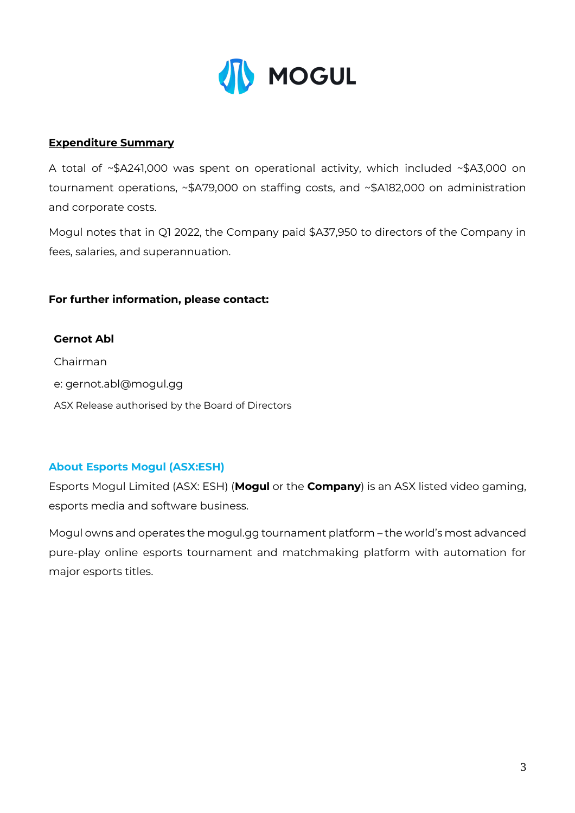

### **Expenditure Summary**

A total of ~\$A241,000 was spent on operational activity, which included ~\$A3,000 on tournament operations, ~\$A79,000 on staffing costs, and ~\$A182,000 on administration and corporate costs.

Mogul notes that in Q1 2022, the Company paid \$A37,950 to directors of the Company in fees, salaries, and superannuation.

### **For further information, please contact:**

#### **Gernot Abl**

Chairman

- e: gernot.abl@mogul.gg
- ASX Release authorised by the Board of Directors

#### **About Esports Mogul (ASX:ESH)**

Esports Mogul Limited (ASX: ESH) (**Mogul** or the **Company**) is an ASX listed video gaming, esports media and software business.

Mogul owns and operates the mogul.gg tournament platform – the world's most advanced pure-play online esports tournament and matchmaking platform with automation for major esports titles.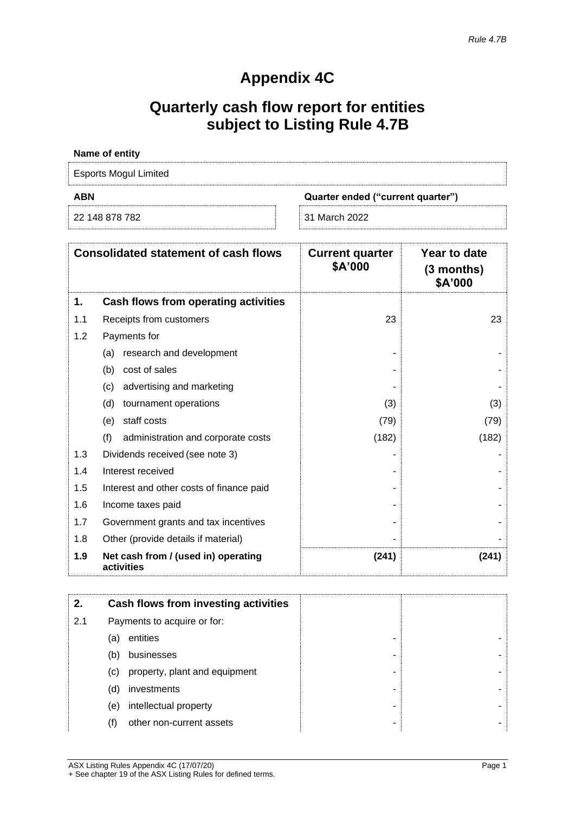# **Appendix 4C**

# **Quarterly cash flow report for entities subject to Listing Rule 4.7B**

| Name of entity        |                                   |
|-----------------------|-----------------------------------|
| Esports Mogul Limited |                                   |
|                       |                                   |
| <b>ABN</b>            | Quarter ended ("current quarter") |

| <b>Consolidated statement of cash flows</b> |                                                   | <b>Current quarter</b><br>\$A'000 | Year to date<br>$(3$ months)<br>\$A'000 |
|---------------------------------------------|---------------------------------------------------|-----------------------------------|-----------------------------------------|
| 1.                                          | Cash flows from operating activities              |                                   |                                         |
| 1.1                                         | Receipts from customers                           | 23                                | 23                                      |
| 1.2                                         | Payments for                                      |                                   |                                         |
|                                             | research and development<br>(a)                   |                                   |                                         |
|                                             | (b)<br>cost of sales                              |                                   |                                         |
|                                             | advertising and marketing<br>(c)                  |                                   |                                         |
|                                             | (d)<br>tournament operations                      | (3)                               | (3)                                     |
|                                             | staff costs<br>(e)                                | (79)                              | (79)                                    |
|                                             | (f)<br>administration and corporate costs         | (182)                             | (182)                                   |
| 1.3                                         | Dividends received (see note 3)                   |                                   |                                         |
| 1.4                                         | Interest received                                 |                                   |                                         |
| 1.5                                         | Interest and other costs of finance paid          |                                   |                                         |
| 1.6                                         | Income taxes paid                                 |                                   |                                         |
| 1.7                                         | Government grants and tax incentives              |                                   |                                         |
| 1.8                                         | Other (provide details if material)               |                                   |                                         |
| 1.9                                         | Net cash from / (used in) operating<br>activities | (241)                             | (241)                                   |

| 2.  |                             | Cash flows from investing activities |   |
|-----|-----------------------------|--------------------------------------|---|
| 2.1 | Payments to acquire or for: |                                      |   |
|     | (a)                         | entities                             | - |
|     | (b)                         | businesses                           |   |
|     | (c)                         | property, plant and equipment        |   |
|     | (d)                         | investments                          |   |
|     | (e)                         | intellectual property                |   |
|     | (f)                         | other non-current assets             |   |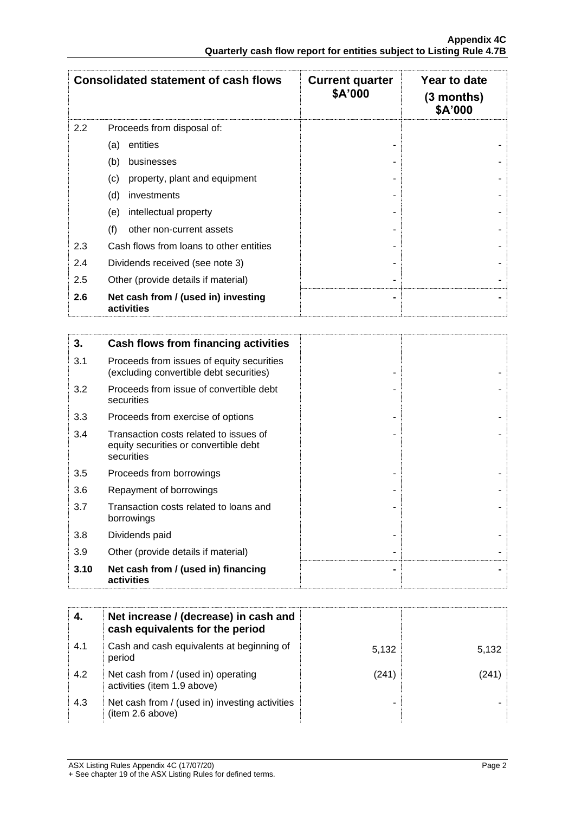|     | <b>Consolidated statement of cash flows</b>       | <b>Current quarter</b><br>\$A'000 | Year to date<br>$(3$ months)<br>\$A'000 |
|-----|---------------------------------------------------|-----------------------------------|-----------------------------------------|
| 2.2 | Proceeds from disposal of:                        |                                   |                                         |
|     | entities<br>(a)                                   |                                   |                                         |
|     | (b)<br>businesses                                 |                                   |                                         |
|     | (c)<br>property, plant and equipment              |                                   |                                         |
|     | (d)<br>investments                                |                                   |                                         |
|     | intellectual property<br>(e)                      |                                   |                                         |
|     | (f)<br>other non-current assets                   |                                   |                                         |
| 2.3 | Cash flows from loans to other entities           |                                   |                                         |
| 2.4 | Dividends received (see note 3)                   |                                   |                                         |
| 2.5 | Other (provide details if material)               |                                   |                                         |
| 2.6 | Net cash from / (used in) investing<br>activities |                                   |                                         |
|     |                                                   |                                   |                                         |
| 3.  | Cash flows from financing activities              |                                   |                                         |
| ີ   | Dessaals fram issuss of smulturessurities         |                                   |                                         |

| 3.1  | Proceeds from issues of equity securities<br>(excluding convertible debt securities)          |  |
|------|-----------------------------------------------------------------------------------------------|--|
| 3.2  | Proceeds from issue of convertible debt<br>securities                                         |  |
| 3.3  | Proceeds from exercise of options                                                             |  |
| 3.4  | Transaction costs related to issues of<br>equity securities or convertible debt<br>securities |  |
| 3.5  | Proceeds from borrowings                                                                      |  |
| 3.6  | Repayment of borrowings                                                                       |  |
| 3.7  | Transaction costs related to loans and<br>borrowings                                          |  |
| 3.8  | Dividends paid                                                                                |  |
| 3.9  | Other (provide details if material)                                                           |  |
| 3.10 | Net cash from / (used in) financing<br>activities                                             |  |

|     | Net increase / (decrease) in cash and<br>cash equivalents for the period |       |       |
|-----|--------------------------------------------------------------------------|-------|-------|
| 4.1 | Cash and cash equivalents at beginning of<br>period                      | 5,132 | 5,132 |
| 4.2 | Net cash from / (used in) operating<br>activities (item 1.9 above)       | (241) |       |
| 4.3 | Net cash from / (used in) investing activities<br>(item 2.6 above)       |       |       |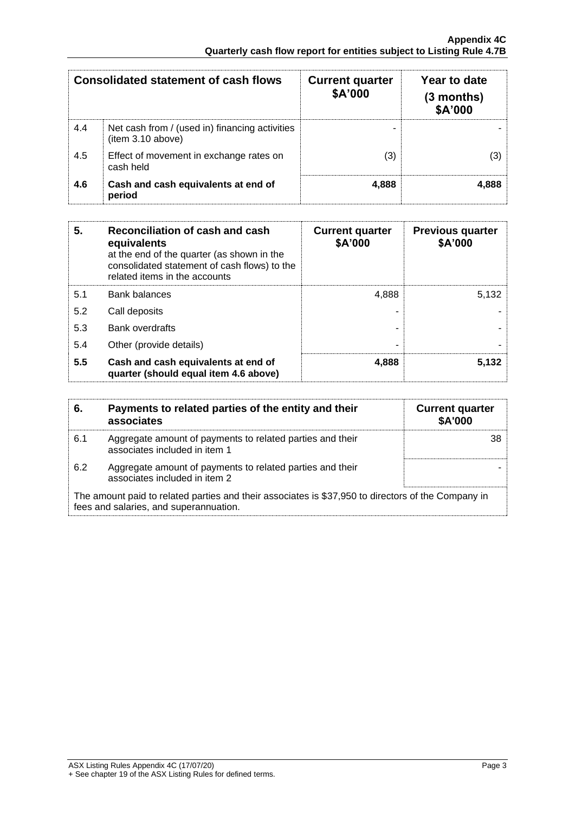| <b>Consolidated statement of cash flows</b> |                                                                     | <b>Current quarter</b><br>\$A'000 | Year to date<br>$(3$ months)<br>\$A'000 |
|---------------------------------------------|---------------------------------------------------------------------|-----------------------------------|-----------------------------------------|
| 4.4                                         | Net cash from / (used in) financing activities<br>(item 3.10 above) |                                   |                                         |
| 4.5                                         | Effect of movement in exchange rates on<br>cash held                | (3)                               | (3)                                     |
| 4.6                                         | Cash and cash equivalents at end of<br>period                       | 4,888                             | 4,888                                   |

| 5.  | Reconciliation of cash and cash<br>equivalents<br>at the end of the quarter (as shown in the<br>consolidated statement of cash flows) to the<br>related items in the accounts | <b>Current quarter</b><br>\$A'000 | <b>Previous quarter</b><br>\$A'000 |
|-----|-------------------------------------------------------------------------------------------------------------------------------------------------------------------------------|-----------------------------------|------------------------------------|
| 5.1 | <b>Bank balances</b>                                                                                                                                                          | 4,888                             | 5.132                              |
| 5.2 | Call deposits                                                                                                                                                                 |                                   |                                    |
| 5.3 | Bank overdrafts                                                                                                                                                               |                                   |                                    |
| 5.4 | Other (provide details)                                                                                                                                                       |                                   |                                    |
| 5.5 | Cash and cash equivalents at end of<br>quarter (should equal item 4.6 above)                                                                                                  | 4,888                             | 5,132                              |

| 6.  | Payments to related parties of the entity and their<br>associates                                                                            | <b>Current quarter</b><br><b>\$A'000</b> |
|-----|----------------------------------------------------------------------------------------------------------------------------------------------|------------------------------------------|
| 6.1 | Aggregate amount of payments to related parties and their<br>associates included in item 1                                                   |                                          |
| 6.2 | Aggregate amount of payments to related parties and their<br>associates included in item 2                                                   |                                          |
|     | The amount paid to related parties and their associates is \$37,950 to directors of the Company in<br>fees and salaries, and superannuation. |                                          |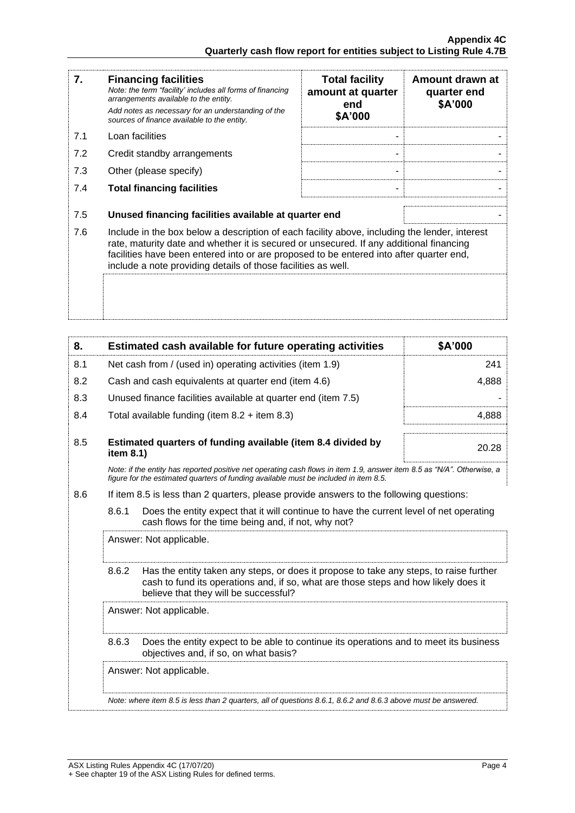| 7.  | <b>Financing facilities</b><br>Note: the term "facility' includes all forms of financing<br>arrangements available to the entity.<br>Add notes as necessary for an understanding of the<br>sources of finance available to the entity.                                                                                                               | <b>Total facility</b><br>amount at quarter<br>end<br>\$A'000 | Amount drawn at<br>quarter end<br>\$A'000 |
|-----|------------------------------------------------------------------------------------------------------------------------------------------------------------------------------------------------------------------------------------------------------------------------------------------------------------------------------------------------------|--------------------------------------------------------------|-------------------------------------------|
| 7.1 | Loan facilities                                                                                                                                                                                                                                                                                                                                      |                                                              |                                           |
| 7.2 | Credit standby arrangements                                                                                                                                                                                                                                                                                                                          |                                                              |                                           |
| 7.3 | Other (please specify)                                                                                                                                                                                                                                                                                                                               |                                                              |                                           |
| 7.4 | <b>Total financing facilities</b>                                                                                                                                                                                                                                                                                                                    |                                                              |                                           |
| 7.5 | Unused financing facilities available at quarter end                                                                                                                                                                                                                                                                                                 |                                                              |                                           |
| 7.6 | Include in the box below a description of each facility above, including the lender, interest<br>rate, maturity date and whether it is secured or unsecured. If any additional financing<br>facilities have been entered into or are proposed to be entered into after quarter end,<br>include a note providing details of those facilities as well. |                                                              |                                           |
|     |                                                                                                                                                                                                                                                                                                                                                      |                                                              |                                           |

| 8.  |                                                           | Estimated cash available for future operating activities                                                                                                                                                               | \$A'000 |
|-----|-----------------------------------------------------------|------------------------------------------------------------------------------------------------------------------------------------------------------------------------------------------------------------------------|---------|
| 8.1 | Net cash from / (used in) operating activities (item 1.9) |                                                                                                                                                                                                                        | 241     |
| 8.2 |                                                           | Cash and cash equivalents at quarter end (item 4.6)                                                                                                                                                                    | 4,888   |
| 8.3 |                                                           | Unused finance facilities available at quarter end (item 7.5)                                                                                                                                                          |         |
| 8.4 |                                                           | Total available funding (item $8.2 +$ item $8.3$ )                                                                                                                                                                     | 4,888   |
| 8.5 | item 8.1)                                                 | Estimated quarters of funding available (item 8.4 divided by                                                                                                                                                           | 20.28   |
|     |                                                           | Note: if the entity has reported positive net operating cash flows in item 1.9, answer item 8.5 as "N/A". Otherwise, a<br>figure for the estimated quarters of funding available must be included in item 8.5.         |         |
| 8.6 |                                                           | If item 8.5 is less than 2 quarters, please provide answers to the following questions:                                                                                                                                |         |
|     | 8.6.1                                                     | Does the entity expect that it will continue to have the current level of net operating<br>cash flows for the time being and, if not, why not?                                                                         |         |
|     | Answer: Not applicable.                                   |                                                                                                                                                                                                                        |         |
|     | 8.6.2                                                     | Has the entity taken any steps, or does it propose to take any steps, to raise further<br>cash to fund its operations and, if so, what are those steps and how likely does it<br>believe that they will be successful? |         |
|     |                                                           | Answer: Not applicable.                                                                                                                                                                                                |         |
|     | 8.6.3                                                     | Does the entity expect to be able to continue its operations and to meet its business<br>objectives and, if so, on what basis?                                                                                         |         |
|     |                                                           | Answer: Not applicable.                                                                                                                                                                                                |         |
|     |                                                           | Note: where item 8.5 is less than 2 quarters, all of questions 8.6.1, 8.6.2 and 8.6.3 above must be answered.                                                                                                          |         |
|     |                                                           |                                                                                                                                                                                                                        |         |